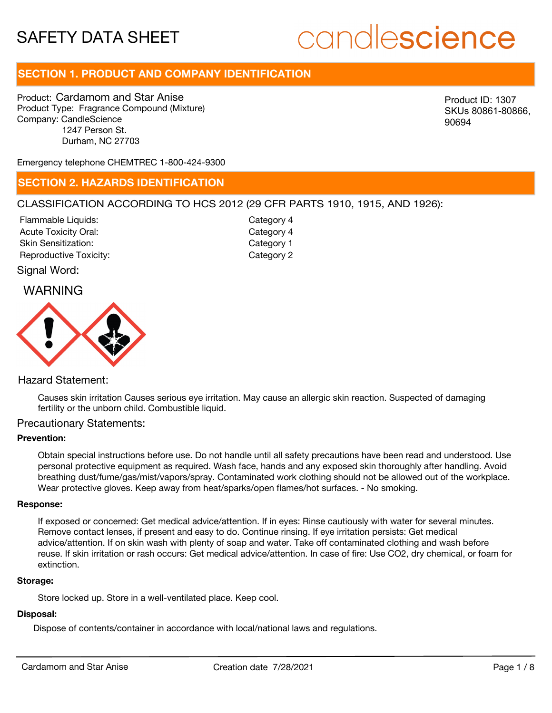# candlescience

# **SECTION 1. PRODUCT AND COMPANY IDENTIFICATION**

Product: Cardamom and Star Anise Product Type: Fragrance Compound (Mixture) Company: CandleScience 1247 Person St. Durham, NC 27703

Product ID: 1307 SKUs 80861-80866, 90694

Emergency telephone CHEMTREC 1-800-424-9300

## **SECTION 2. HAZARDS IDENTIFICATION**

#### CLASSIFICATION ACCORDING TO HCS 2012 (29 CFR PARTS 1910, 1915, AND 1926):

Acute Toxicity Oral: Skin Sensitization: Reproductive Toxicity: Category 2 Flammable Liquids:

Category 4 Category 1 Category 4

Signal Word:

## WARNING



#### Hazard Statement:

Causes skin irritation Causes serious eye irritation. May cause an allergic skin reaction. Suspected of damaging fertility or the unborn child. Combustible liquid.

#### Precautionary Statements:

#### **Prevention:**

Obtain special instructions before use. Do not handle until all safety precautions have been read and understood. Use personal protective equipment as required. Wash face, hands and any exposed skin thoroughly after handling. Avoid breathing dust/fume/gas/mist/vapors/spray. Contaminated work clothing should not be allowed out of the workplace. Wear protective gloves. Keep away from heat/sparks/open flames/hot surfaces. - No smoking.

#### **Response:**

If exposed or concerned: Get medical advice/attention. If in eyes: Rinse cautiously with water for several minutes. Remove contact lenses, if present and easy to do. Continue rinsing. If eye irritation persists: Get medical advice/attention. If on skin wash with plenty of soap and water. Take off contaminated clothing and wash before reuse. If skin irritation or rash occurs: Get medical advice/attention. In case of fire: Use CO2, dry chemical, or foam for extinction.

#### **Storage:**

Store locked up. Store in a well-ventilated place. Keep cool.

## **Disposal:**

Dispose of contents/container in accordance with local/national laws and regulations.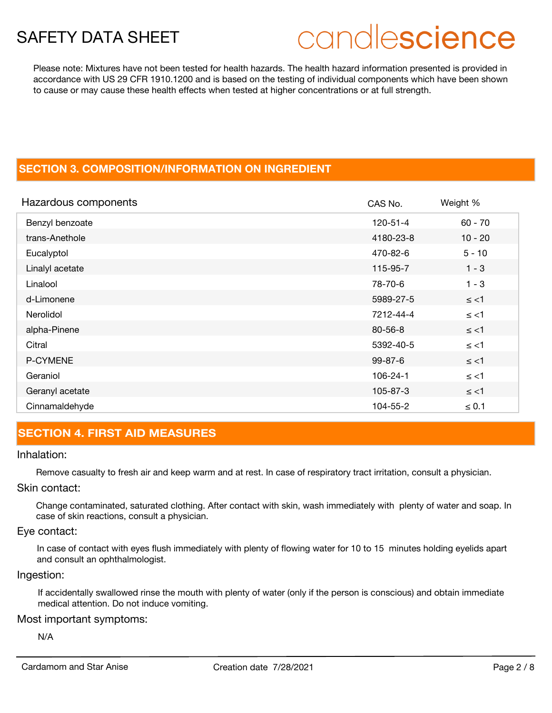# candlescience

Please note: Mixtures have not been tested for health hazards. The health hazard information presented is provided in accordance with US 29 CFR 1910.1200 and is based on the testing of individual components which have been shown to cause or may cause these health effects when tested at higher concentrations or at full strength.

# **SECTION 3. COMPOSITION/INFORMATION ON INGREDIENT**

| Hazardous components | CAS No.        | Weight %   |
|----------------------|----------------|------------|
| Benzyl benzoate      | $120 - 51 - 4$ | $60 - 70$  |
| trans-Anethole       | 4180-23-8      | $10 - 20$  |
| Eucalyptol           | 470-82-6       | $5 - 10$   |
| Linalyl acetate      | 115-95-7       | $1 - 3$    |
| Linalool             | 78-70-6        | $1 - 3$    |
| d-Limonene           | 5989-27-5      | $\le$ <1   |
| Nerolidol            | 7212-44-4      | $\le$ <1   |
| alpha-Pinene         | $80 - 56 - 8$  | $\le$ <1   |
| Citral               | 5392-40-5      | $\le$ <1   |
| P-CYMENE             | $99 - 87 - 6$  | $\le$ <1   |
| Geraniol             | 106-24-1       | $\le$ <1   |
| Geranyl acetate      | 105-87-3       | $\le$ <1   |
| Cinnamaldehyde       | 104-55-2       | $\leq 0.1$ |

# **SECTION 4. FIRST AID MEASURES**

#### Inhalation:

Remove casualty to fresh air and keep warm and at rest. In case of respiratory tract irritation, consult a physician.

#### Skin contact:

Change contaminated, saturated clothing. After contact with skin, wash immediately with plenty of water and soap. In case of skin reactions, consult a physician.

#### Eye contact:

In case of contact with eyes flush immediately with plenty of flowing water for 10 to 15 minutes holding eyelids apart and consult an ophthalmologist.

#### Ingestion:

If accidentally swallowed rinse the mouth with plenty of water (only if the person is conscious) and obtain immediate medical attention. Do not induce vomiting.

#### Most important symptoms:

N/A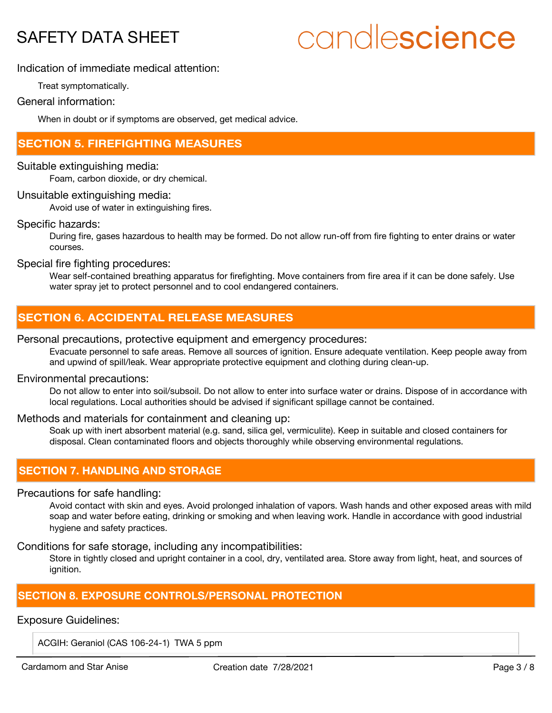# candlescience

## Indication of immediate medical attention:

Treat symptomatically.

## General information:

When in doubt or if symptoms are observed, get medical advice.

# **SECTION 5. FIREFIGHTING MEASURES**

#### Suitable extinguishing media:

Foam, carbon dioxide, or dry chemical.

#### Unsuitable extinguishing media:

Avoid use of water in extinguishing fires.

#### Specific hazards:

During fire, gases hazardous to health may be formed. Do not allow run-off from fire fighting to enter drains or water courses.

Special fire fighting procedures:

Wear self-contained breathing apparatus for firefighting. Move containers from fire area if it can be done safely. Use water spray jet to protect personnel and to cool endangered containers.

# **SECTION 6. ACCIDENTAL RELEASE MEASURES**

#### Personal precautions, protective equipment and emergency procedures:

Evacuate personnel to safe areas. Remove all sources of ignition. Ensure adequate ventilation. Keep people away from and upwind of spill/leak. Wear appropriate protective equipment and clothing during clean-up.

#### Environmental precautions:

Do not allow to enter into soil/subsoil. Do not allow to enter into surface water or drains. Dispose of in accordance with local regulations. Local authorities should be advised if significant spillage cannot be contained.

#### Methods and materials for containment and cleaning up:

Soak up with inert absorbent material (e.g. sand, silica gel, vermiculite). Keep in suitable and closed containers for disposal. Clean contaminated floors and objects thoroughly while observing environmental regulations.

# **SECTION 7. HANDLING AND STORAGE**

#### Precautions for safe handling:

Avoid contact with skin and eyes. Avoid prolonged inhalation of vapors. Wash hands and other exposed areas with mild soap and water before eating, drinking or smoking and when leaving work. Handle in accordance with good industrial hygiene and safety practices.

Conditions for safe storage, including any incompatibilities:

Store in tightly closed and upright container in a cool, dry, ventilated area. Store away from light, heat, and sources of ignition.

# **SECTION 8. EXPOSURE CONTROLS/PERSONAL PROTECTION**

#### Exposure Guidelines:

ACGIH: Geraniol (CAS 106-24-1) TWA 5 ppm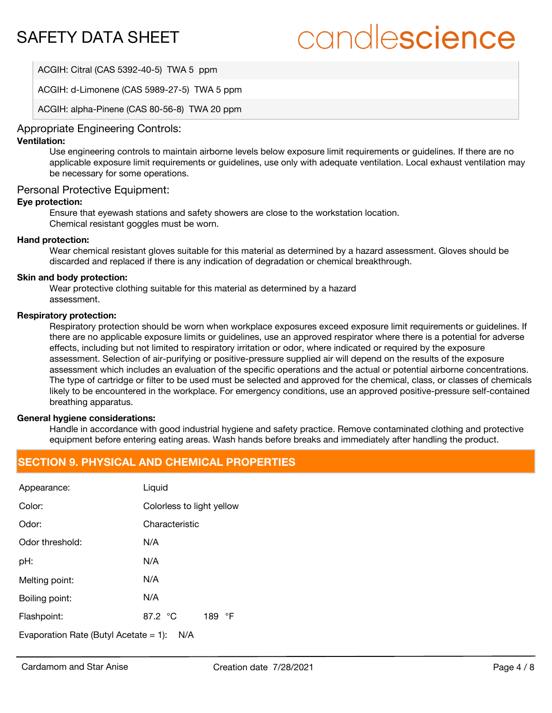# candlescience

ACGIH: Citral (CAS 5392-40-5) TWA 5 ppm

ACGIH: d-Limonene (CAS 5989-27-5) TWA 5 ppm

ACGIH: alpha-Pinene (CAS 80-56-8) TWA 20 ppm

## Appropriate Engineering Controls:

#### **Ventilation:**

Use engineering controls to maintain airborne levels below exposure limit requirements or guidelines. If there are no applicable exposure limit requirements or guidelines, use only with adequate ventilation. Local exhaust ventilation may be necessary for some operations.

#### Personal Protective Equipment:

#### **Eye protection:**

Ensure that eyewash stations and safety showers are close to the workstation location. Chemical resistant goggles must be worn.

#### **Hand protection:**

Wear chemical resistant gloves suitable for this material as determined by a hazard assessment. Gloves should be discarded and replaced if there is any indication of degradation or chemical breakthrough.

#### **Skin and body protection:**

Wear protective clothing suitable for this material as determined by a hazard assessment.

#### **Respiratory protection:**

Respiratory protection should be worn when workplace exposures exceed exposure limit requirements or guidelines. If there are no applicable exposure limits or guidelines, use an approved respirator where there is a potential for adverse effects, including but not limited to respiratory irritation or odor, where indicated or required by the exposure assessment. Selection of air-purifying or positive-pressure supplied air will depend on the results of the exposure assessment which includes an evaluation of the specific operations and the actual or potential airborne concentrations. The type of cartridge or filter to be used must be selected and approved for the chemical, class, or classes of chemicals likely to be encountered in the workplace. For emergency conditions, use an approved positive-pressure self-contained breathing apparatus.

#### **General hygiene considerations:**

Handle in accordance with good industrial hygiene and safety practice. Remove contaminated clothing and protective equipment before entering eating areas. Wash hands before breaks and immediately after handling the product.

## **SECTION 9. PHYSICAL AND CHEMICAL PROPERTIES**

| Appearance:                                     | Liquid                    |  |
|-------------------------------------------------|---------------------------|--|
| Color:                                          | Colorless to light yellow |  |
| Odor:                                           | Characteristic            |  |
| Odor threshold:                                 | N/A                       |  |
| pH:                                             | N/A                       |  |
| Melting point:                                  | N/A                       |  |
| Boiling point:                                  | N/A                       |  |
| Flashpoint:                                     | 87.2 °C<br>189 °F         |  |
| Evaporation Rate (Butyl Acetate $= 1$ ):<br>N/A |                           |  |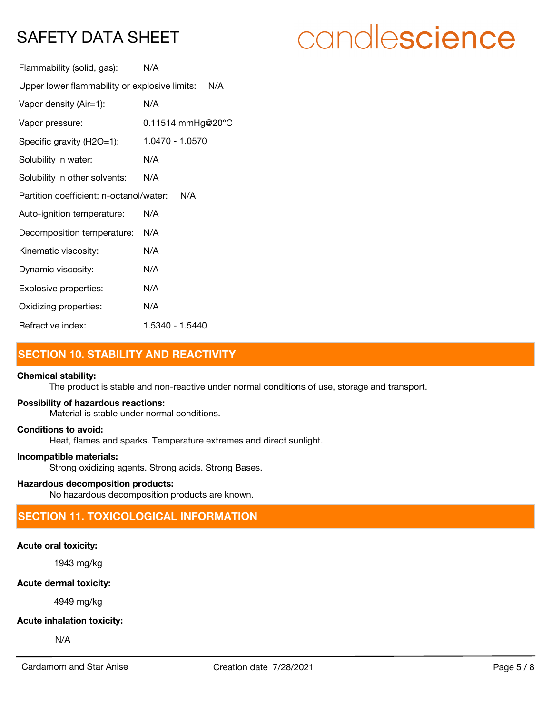# candlescience

| Flammability (solid, gas):                           | N/A               |  |
|------------------------------------------------------|-------------------|--|
| Upper lower flammability or explosive limits:<br>N/A |                   |  |
| Vapor density (Air=1):                               | N/A               |  |
| Vapor pressure:                                      | 0.11514 mmHg@20°C |  |
| Specific gravity (H2O=1):                            | 1.0470 - 1.0570   |  |
| Solubility in water:                                 | N/A               |  |
| Solubility in other solvents:                        | N/A               |  |
| Partition coefficient: n-octanol/water:<br>N/A       |                   |  |
| Auto-ignition temperature:                           | N/A               |  |
| Decomposition temperature:                           | N/A               |  |
| Kinematic viscosity:                                 | N/A               |  |
| Dynamic viscosity:                                   | N/A               |  |
| Explosive properties:                                | N/A               |  |
| Oxidizing properties:                                | N/A               |  |
| Refractive index:                                    | 1.5340 - 1.5440   |  |

# **SECTION 10. STABILITY AND REACTIVITY**

#### **Chemical stability:**

The product is stable and non-reactive under normal conditions of use, storage and transport.

#### **Possibility of hazardous reactions:**

Material is stable under normal conditions.

#### **Conditions to avoid:**

Heat, flames and sparks. Temperature extremes and direct sunlight.

#### **Incompatible materials:**

Strong oxidizing agents. Strong acids. Strong Bases.

#### **Hazardous decomposition products:**

No hazardous decomposition products are known.

# **SECTION 11. TOXICOLOGICAL INFORMATION**

## **Acute oral toxicity:**

1943 mg/kg

## **Acute dermal toxicity:**

4949 mg/kg

## **Acute inhalation toxicity:**

N/A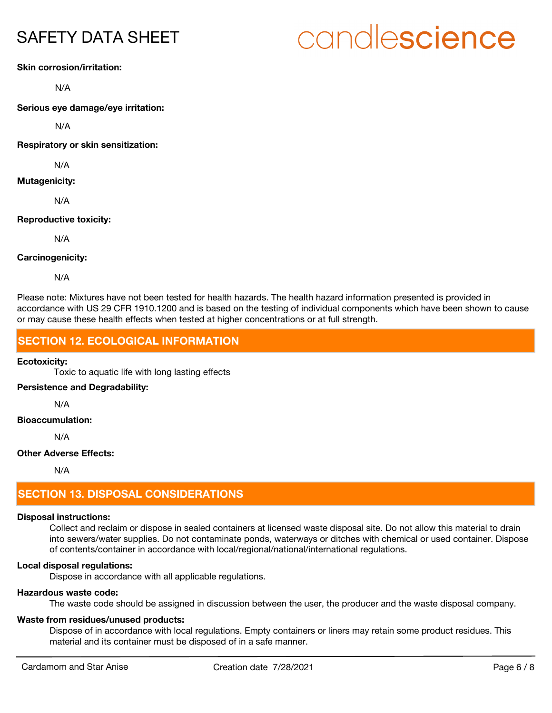# candlescience

#### **Skin corrosion/irritation:**

N/A

**Serious eye damage/eye irritation:**

N/A

**Respiratory or skin sensitization:**

N/A

**Mutagenicity:**

N/A

#### **Reproductive toxicity:**

N/A

**Carcinogenicity:**

N/A

Please note: Mixtures have not been tested for health hazards. The health hazard information presented is provided in accordance with US 29 CFR 1910.1200 and is based on the testing of individual components which have been shown to cause or may cause these health effects when tested at higher concentrations or at full strength.

# **SECTION 12. ECOLOGICAL INFORMATION**

#### **Ecotoxicity:**

Toxic to aquatic life with long lasting effects

#### **Persistence and Degradability:**

N/A

**Bioaccumulation:**

N/A

#### **Other Adverse Effects:**

N/A

# **SECTION 13. DISPOSAL CONSIDERATIONS**

## **Disposal instructions:**

Collect and reclaim or dispose in sealed containers at licensed waste disposal site. Do not allow this material to drain into sewers/water supplies. Do not contaminate ponds, waterways or ditches with chemical or used container. Dispose of contents/container in accordance with local/regional/national/international regulations.

## **Local disposal regulations:**

Dispose in accordance with all applicable regulations.

## **Hazardous waste code:**

The waste code should be assigned in discussion between the user, the producer and the waste disposal company.

## **Waste from residues/unused products:**

Dispose of in accordance with local regulations. Empty containers or liners may retain some product residues. This material and its container must be disposed of in a safe manner.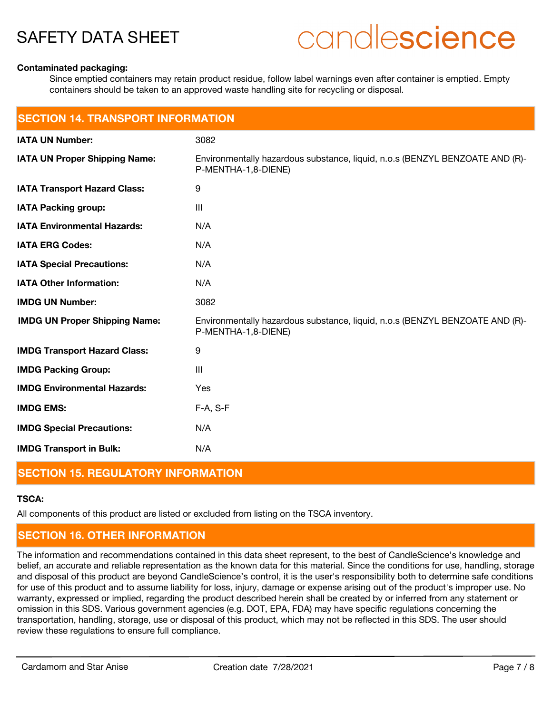# candlescience

#### **Contaminated packaging:**

Since emptied containers may retain product residue, follow label warnings even after container is emptied. Empty containers should be taken to an approved waste handling site for recycling or disposal.

| <b>SECTION 14. TRANSPORT INFORMATION</b> |                                                                                                     |  |
|------------------------------------------|-----------------------------------------------------------------------------------------------------|--|
| <b>IATA UN Number:</b>                   | 3082                                                                                                |  |
| <b>IATA UN Proper Shipping Name:</b>     | Environmentally hazardous substance, liquid, n.o.s (BENZYL BENZOATE AND (R)-<br>P-MENTHA-1,8-DIENE) |  |
| <b>IATA Transport Hazard Class:</b>      | 9                                                                                                   |  |
| <b>IATA Packing group:</b>               | $\mathbf{III}$                                                                                      |  |
| <b>IATA Environmental Hazards:</b>       | N/A                                                                                                 |  |
| <b>IATA ERG Codes:</b>                   | N/A                                                                                                 |  |
| <b>IATA Special Precautions:</b>         | N/A                                                                                                 |  |
| <b>IATA Other Information:</b>           | N/A                                                                                                 |  |
| <b>IMDG UN Number:</b>                   | 3082                                                                                                |  |
| <b>IMDG UN Proper Shipping Name:</b>     | Environmentally hazardous substance, liquid, n.o.s (BENZYL BENZOATE AND (R)-<br>P-MENTHA-1,8-DIENE) |  |
| <b>IMDG Transport Hazard Class:</b>      | $\boldsymbol{9}$                                                                                    |  |
| <b>IMDG Packing Group:</b>               | III                                                                                                 |  |
| <b>IMDG Environmental Hazards:</b>       | Yes                                                                                                 |  |
| <b>IMDG EMS:</b>                         | F-A, S-F                                                                                            |  |
| <b>IMDG Special Precautions:</b>         | N/A                                                                                                 |  |
| <b>IMDG Transport in Bulk:</b>           | N/A                                                                                                 |  |

#### **SECTION 15. REGULATORY INFORMATION**

## **TSCA:**

All components of this product are listed or excluded from listing on the TSCA inventory.

# **SECTION 16. OTHER INFORMATION**

The information and recommendations contained in this data sheet represent, to the best of CandleScience's knowledge and belief, an accurate and reliable representation as the known data for this material. Since the conditions for use, handling, storage and disposal of this product are beyond CandleScience's control, it is the user's responsibility both to determine safe conditions for use of this product and to assume liability for loss, injury, damage or expense arising out of the product's improper use. No warranty, expressed or implied, regarding the product described herein shall be created by or inferred from any statement or omission in this SDS. Various government agencies (e.g. DOT, EPA, FDA) may have specific regulations concerning the transportation, handling, storage, use or disposal of this product, which may not be reflected in this SDS. The user should review these regulations to ensure full compliance.